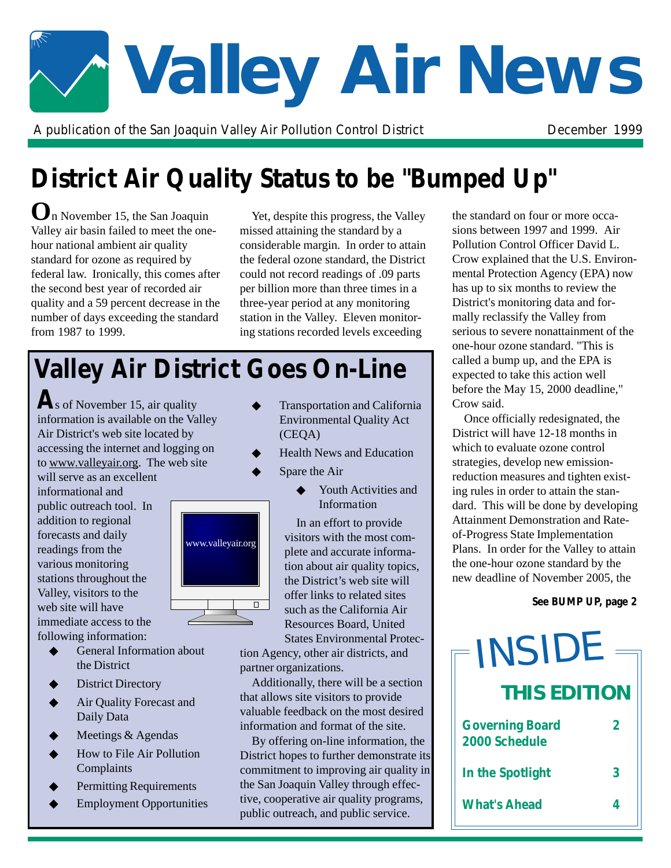

A publication of the San Joaquin Valley Air Pollution Control District **District** December 1999

## **District Air Quality Status to be "Bumped Up"**

**O**n November 15, the San Joaquin Valley air basin failed to meet the onehour national ambient air quality standard for ozone as required by federal law. Ironically, this comes after the second best year of recorded air quality and a 59 percent decrease in the number of days exceeding the standard from 1987 to 1999.

" per billion more than three times in a Yet, despite this progress, the Valley missed attaining the standard by a considerable margin. In order to attain the federal ozone standard, the District could not record readings of .09 parts three-year period at any monitoring station in the Valley. Eleven monitoring stations recorded levels exceeding

# **Valley Air District Goes On-Line**

As of November 15, air quality information is available on the Valley Air District's web site located by accessing the internet and logging on to www.valleyair.org. The web site

will serve as an excellent informational and public outreach tool. In addition to regional forecasts and daily readings from the various monitoring stations throughout the Valley, visitors to the web site will have immediate access to the following information:



- **General Information about** the District
- District Directory
- Air Quality Forecast and Daily Data
- Meetings & Agendas
- How to File Air Pollution Complaints
- Permitting Requirements
- **Employment Opportunities**
- ◆ Transportation and California Environmental Quality Act (CEQA)
- **Health News and Education** 
	- Spare the Air
		- Youth Activities and Information

In an effort to provide visitors with the most complete and accurate information about air quality topics, the District's web site will offer links to related sites such as the California Air Resources Board, United States Environmental Protec-

tion Agency, other air districts, and partner organizations.

Additionally, there will be a section that allows site visitors to provide valuable feedback on the most desired information and format of the site.

By offering on-line information, the District hopes to further demonstrate its commitment to improving air quality in the San Joaquin Valley through effective, cooperative air quality programs, public outreach, and public service.

the standard on four or more occasions between 1997 and 1999. Air Pollution Control Officer David L. Crow explained that the U.S. Environmental Protection Agency (EPA) now has up to six months to review the District's monitoring data and formally reclassify the Valley from serious to severe nonattainment of the one-hour ozone standard. "This is called a bump up, and the EPA is expected to take this action well before the May 15, 2000 deadline," Crow said.

Once officially redesignated, the District will have 12-18 months in which to evaluate ozone control strategies, develop new emissionreduction measures and tighten existing rules in order to attain the standard. This will be done by developing Attainment Demonstration and Rateof-Progress State Implementation Plans. In order for the Valley to attain the one-hour ozone standard by the new deadline of November 2005, the

*See BUMP UP, page 2*

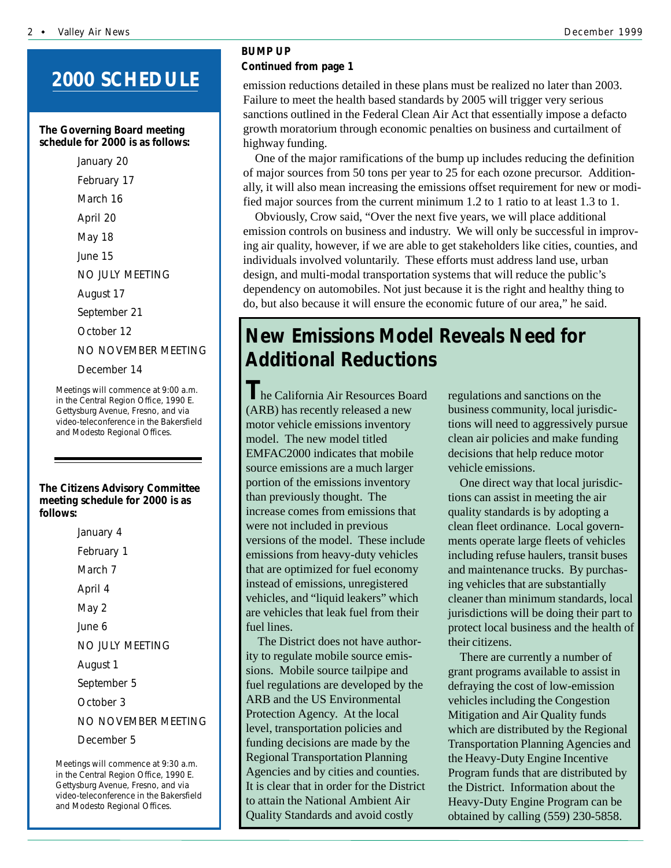## **2000 SCHEDULE**

#### **The Governing Board meeting schedule for 2000 is as follows:**

January 20 February 17 March 16 April 20 May 18 June 15 NO JULY MEETING August 17 September 21 October 12 NO NOVEMBER MEETING December 14

Meetings will commence at 9:00 a.m. in the Central Region Office, 1990 E. Gettysburg Avenue, Fresno, and via video-teleconference in the Bakersfield and Modesto Regional Offices.

#### **The Citizens Advisory Committee meeting schedule for 2000 is as follows:**

January 4 February 1 March 7 April 4 May 2 June 6 NO JULY MEETING August 1 September 5 October 3 NO NOVEMBER MEETING December 5

Meetings will commence at 9:30 a.m. in the Central Region Office, 1990 E. Gettysburg Avenue, Fresno, and via video-teleconference in the Bakersfield and Modesto Regional Offices.

### *BUMP UP Continued from page 1*

Fundre to meet the hearth based standards by 2005 with digger very serious sanctions outlined in the Federal Clean Air Act that essentially impose a defacto emission reductions detailed in these plans must be realized no later than 2003. Failure to meet the health based standards by 2005 will trigger very serious growth moratorium through economic penalties on business and curtailment of highway funding.

One of the major ramifications of the bump up includes reducing the definition of major sources from 50 tons per year to 25 for each ozone precursor. Additionally, it will also mean increasing the emissions offset requirement for new or modified major sources from the current minimum 1.2 to 1 ratio to at least 1.3 to 1.

Obviously, Crow said, "Over the next five years, we will place additional emission controls on business and industry. We will only be successful in improving air quality, however, if we are able to get stakeholders like cities, counties, and individuals involved voluntarily. These efforts must address land use, urban design, and multi-modal transportation systems that will reduce the public's dependency on automobiles. Not just because it is the right and healthy thing to do, but also because it will ensure the economic future of our area," he said.

## **New Emissions Model Reveals Need for Additional Reductions**

**T**he California Air Resources Board (ARB) has recently released a new motor vehicle emissions inventory model. The new model titled EMFAC2000 indicates that mobile source emissions are a much larger portion of the emissions inventory than previously thought. The increase comes from emissions that were not included in previous versions of the model. These include emissions from heavy-duty vehicles that are optimized for fuel economy instead of emissions, unregistered vehicles, and "liquid leakers" which are vehicles that leak fuel from their fuel lines.

The District does not have authority to regulate mobile source emissions. Mobile source tailpipe and fuel regulations are developed by the ARB and the US Environmental Protection Agency. At the local level, transportation policies and funding decisions are made by the Regional Transportation Planning Agencies and by cities and counties. It is clear that in order for the District to attain the National Ambient Air Quality Standards and avoid costly

regulations and sanctions on the business community, local jurisdictions will need to aggressively pursue clean air policies and make funding decisions that help reduce motor vehicle emissions.

One direct way that local jurisdictions can assist in meeting the air quality standards is by adopting a clean fleet ordinance. Local governments operate large fleets of vehicles including refuse haulers, transit buses and maintenance trucks. By purchasing vehicles that are substantially cleaner than minimum standards, local jurisdictions will be doing their part to protect local business and the health of their citizens.

There are currently a number of grant programs available to assist in defraying the cost of low-emission vehicles including the Congestion Mitigation and Air Quality funds which are distributed by the Regional Transportation Planning Agencies and the Heavy-Duty Engine Incentive Program funds that are distributed by the District. Information about the Heavy-Duty Engine Program can be obtained by calling (559) 230-5858.